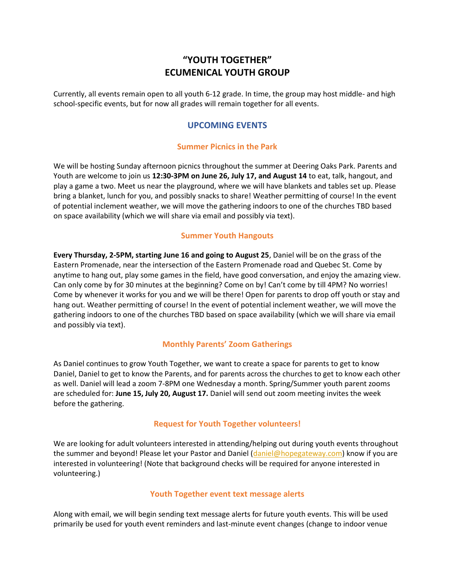# **"YOUTH TOGETHER" ECUMENICAL YOUTH GROUP**

Currently, all events remain open to all youth 6-12 grade. In time, the group may host middle- and high school-specific events, but for now all grades will remain together for all events.

## **UPCOMING EVENTS**

#### **Summer Picnics in the Park**

We will be hosting Sunday afternoon picnics throughout the summer at Deering Oaks Park. Parents and Youth are welcome to join us **12:30-3PM on June 26, July 17, and August 14** to eat, talk, hangout, and play a game a two. Meet us near the playground, where we will have blankets and tables set up. Please bring a blanket, lunch for you, and possibly snacks to share! Weather permitting of course! In the event of potential inclement weather, we will move the gathering indoors to one of the churches TBD based on space availability (which we will share via email and possibly via text).

#### **Summer Youth Hangouts**

**Every Thursday, 2-5PM, starting June 16 and going to August 25**, Daniel will be on the grass of the Eastern Promenade, near the intersection of the Eastern Promenade road and Quebec St. Come by anytime to hang out, play some games in the field, have good conversation, and enjoy the amazing view. Can only come by for 30 minutes at the beginning? Come on by! Can't come by till 4PM? No worries! Come by whenever it works for you and we will be there! Open for parents to drop off youth or stay and hang out. Weather permitting of course! In the event of potential inclement weather, we will move the gathering indoors to one of the churches TBD based on space availability (which we will share via email and possibly via text).

#### **Monthly Parents' Zoom Gatherings**

As Daniel continues to grow Youth Together, we want to create a space for parents to get to know Daniel, Daniel to get to know the Parents, and for parents across the churches to get to know each other as well. Daniel will lead a zoom 7-8PM one Wednesday a month. Spring/Summer youth parent zooms are scheduled for: **June 15, July 20, August 17.** Daniel will send out zoom meeting invites the week before the gathering.

#### **Request for Youth Together volunteers!**

We are looking for adult volunteers interested in attending/helping out during youth events throughout the summer and beyond! Please let your Pastor and Daniel [\(daniel@hopegateway.com\)](mailto:daniel@hopegateway.com) know if you are interested in volunteering! (Note that background checks will be required for anyone interested in volunteering.)

### **Youth Together event text message alerts**

Along with email, we will begin sending text message alerts for future youth events. This will be used primarily be used for youth event reminders and last-minute event changes (change to indoor venue